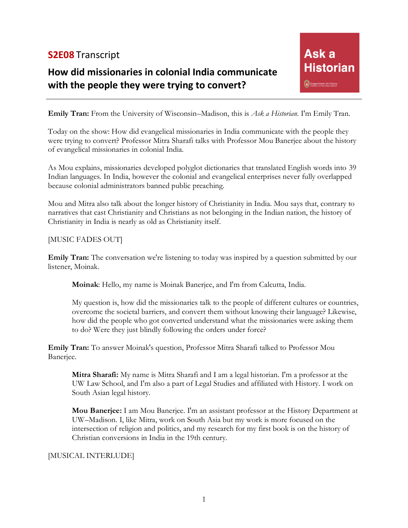## **S2E08** Transcript

# **How did missionaries in colonial India communicate with the people they were trying to convert?**

**Emily Tran:** From the University of Wisconsin–Madison, this is *Ask a Historian*. I'm Emily Tran.

Today on the show: How did evangelical missionaries in India communicate with the people they were trying to convert? Professor Mitra Sharafi talks with Professor Mou Banerjee about the history of evangelical missionaries in colonial India.

As Mou explains, missionaries developed polyglot dictionaries that translated English words into 39 Indian languages. In India, however the colonial and evangelical enterprises never fully overlapped because colonial administrators banned public preaching.

Mou and Mitra also talk about the longer history of Christianity in India. Mou says that, contrary to narratives that cast Christianity and Christians as not belonging in the Indian nation, the history of Christianity in India is nearly as old as Christianity itself.

#### [MUSIC FADES OUT]

**Emily Tran:** The conversation we're listening to today was inspired by a question submitted by our listener, Moinak.

**Moinak**: Hello, my name is Moinak Banerjee, and I'm from Calcutta, India.

My question is, how did the missionaries talk to the people of different cultures or countries, overcome the societal barriers, and convert them without knowing their language? Likewise, how did the people who got converted understand what the missionaries were asking them to do? Were they just blindly following the orders under force?

**Emily Tran:** To answer Moinak's question, Professor Mitra Sharafi talked to Professor Mou Banerjee.

**Mitra Sharafi:** My name is Mitra Sharafi and I am a legal historian. I'm a professor at the UW Law School, and I'm also a part of Legal Studies and affiliated with History. I work on South Asian legal history.

**Mou Banerjee:** I am Mou Banerjee. I'm an assistant professor at the History Department at UW–Madison. I, like Mitra, work on South Asia but my work is more focused on the intersection of religion and politics, and my research for my first book is on the history of Christian conversions in India in the 19th century.

#### [MUSICAL INTERLUDE]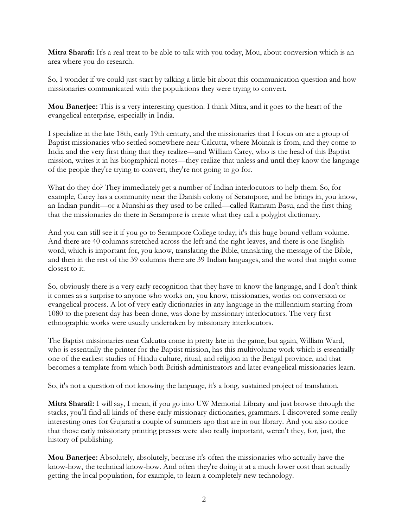**Mitra Sharafi:** It's a real treat to be able to talk with you today, Mou, about conversion which is an area where you do research.

So, I wonder if we could just start by talking a little bit about this communication question and how missionaries communicated with the populations they were trying to convert.

**Mou Banerjee:** This is a very interesting question. I think Mitra, and it goes to the heart of the evangelical enterprise, especially in India.

I specialize in the late 18th, early 19th century, and the missionaries that I focus on are a group of Baptist missionaries who settled somewhere near Calcutta, where Moinak is from, and they come to India and the very first thing that they realize—and William Carey, who is the head of this Baptist mission, writes it in his biographical notes—they realize that unless and until they know the language of the people they're trying to convert, they're not going to go for.

What do they do? They immediately get a number of Indian interlocutors to help them. So, for example, Carey has a community near the Danish colony of Serampore, and he brings in, you know, an Indian pundit—or a Munshi as they used to be called—called Ramram Basu, and the first thing that the missionaries do there in Serampore is create what they call a polyglot dictionary.

And you can still see it if you go to Serampore College today; it's this huge bound vellum volume. And there are 40 columns stretched across the left and the right leaves, and there is one English word, which is important for, you know, translating the Bible, translating the message of the Bible, and then in the rest of the 39 columns there are 39 Indian languages, and the word that might come closest to it.

So, obviously there is a very early recognition that they have to know the language, and I don't think it comes as a surprise to anyone who works on, you know, missionaries, works on conversion or evangelical process. A lot of very early dictionaries in any language in the millennium starting from 1080 to the present day has been done, was done by missionary interlocutors. The very first ethnographic works were usually undertaken by missionary interlocutors.

The Baptist missionaries near Calcutta come in pretty late in the game, but again, William Ward, who is essentially the printer for the Baptist mission, has this multivolume work which is essentially one of the earliest studies of Hindu culture, ritual, and religion in the Bengal province, and that becomes a template from which both British administrators and later evangelical missionaries learn.

So, it's not a question of not knowing the language, it's a long, sustained project of translation.

**Mitra Sharafi:** I will say, I mean, if you go into UW Memorial Library and just browse through the stacks, you'll find all kinds of these early missionary dictionaries, grammars. I discovered some really interesting ones for Gujarati a couple of summers ago that are in our library. And you also notice that those early missionary printing presses were also really important, weren't they, for, just, the history of publishing.

**Mou Banerjee:** Absolutely, absolutely, because it's often the missionaries who actually have the know-how, the technical know-how. And often they're doing it at a much lower cost than actually getting the local population, for example, to learn a completely new technology.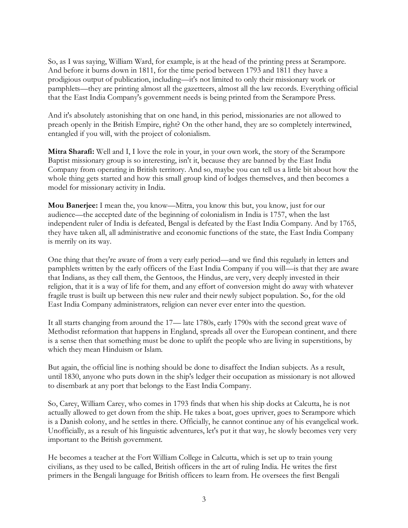So, as I was saying, William Ward, for example, is at the head of the printing press at Serampore. And before it burns down in 1811, for the time period between 1793 and 1811 they have a prodigious output of publication, including—it's not limited to only their missionary work or pamphlets—they are printing almost all the gazetteers, almost all the law records. Everything official that the East India Company's government needs is being printed from the Serampore Press.

And it's absolutely astonishing that on one hand, in this period, missionaries are not allowed to preach openly in the British Empire, right? On the other hand, they are so completely intertwined, entangled if you will, with the project of colonialism.

**Mitra Sharafi:** Well and I, I love the role in your, in your own work, the story of the Serampore Baptist missionary group is so interesting, isn't it, because they are banned by the East India Company from operating in British territory. And so, maybe you can tell us a little bit about how the whole thing gets started and how this small group kind of lodges themselves, and then becomes a model for missionary activity in India.

**Mou Banerjee:** I mean the, you know—Mitra, you know this but, you know, just for our audience—the accepted date of the beginning of colonialism in India is 1757, when the last independent ruler of India is defeated, Bengal is defeated by the East India Company. And by 1765, they have taken all, all administrative and economic functions of the state, the East India Company is merrily on its way.

One thing that they're aware of from a very early period—and we find this regularly in letters and pamphlets written by the early officers of the East India Company if you will—is that they are aware that Indians, as they call them, the Gentoos, the Hindus, are very, very deeply invested in their religion, that it is a way of life for them, and any effort of conversion might do away with whatever fragile trust is built up between this new ruler and their newly subject population. So, for the old East India Company administrators, religion can never ever enter into the question.

It all starts changing from around the 17— late 1780s, early 1790s with the second great wave of Methodist reformation that happens in England, spreads all over the European continent, and there is a sense then that something must be done to uplift the people who are living in superstitions, by which they mean Hinduism or Islam.

But again, the official line is nothing should be done to disaffect the Indian subjects. As a result, until 1830, anyone who puts down in the ship's ledger their occupation as missionary is not allowed to disembark at any port that belongs to the East India Company.

So, Carey, William Carey, who comes in 1793 finds that when his ship docks at Calcutta, he is not actually allowed to get down from the ship. He takes a boat, goes upriver, goes to Serampore which is a Danish colony, and he settles in there. Officially, he cannot continue any of his evangelical work. Unofficially, as a result of his linguistic adventures, let's put it that way, he slowly becomes very very important to the British government.

He becomes a teacher at the Fort William College in Calcutta, which is set up to train young civilians, as they used to be called, British officers in the art of ruling India. He writes the first primers in the Bengali language for British officers to learn from. He oversees the first Bengali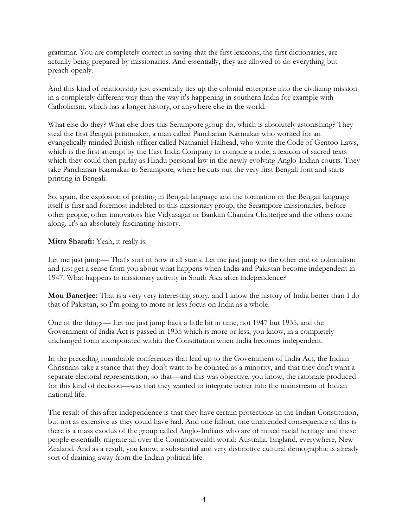grammar. You are completely correct in saying that the first lexicons, the first dictionaries, are actually being prepared by missionaries. And essentially, they are allowed to do everything but preach openly.

And this kind of relationship just essentially ties up the colonial enterprise into the civilizing mission in a completely different way than the way it's happening in southern India for example with Catholicism, which has a longer history, or anywhere else in the world.

What else do they? What else does this Serampore group do, which is absolutely astonishing? They steal the first Bengali printmaker, a man called Panchanan Karmakar who worked for an evangelically minded British officer called Nathaniel Halhead, who wrote the Code of Gentoo Laws, which is the first attempt by the East India Company to compile a code, a lexicon of sacred texts which they could then parlay as Hindu personal law in the newly evolving Anglo-Indian courts. They take Panchanan Karmakar to Serampore, where he cuts out the very first Bengali font and starts printing in Bengali.

So, again, the explosion of printing in Bengali language and the formation of the Bengali language itself is first and foremost indebted to this missionary group, the Serampore missionaries, before other people, other innovators like Vidyasagar or Bankim Chandra Chatterjee and the others come along. It's an absolutely fascinating history.

**Mitra Sharafi:** Yeah, it really is.

Let me just jump— That's sort of how it all starts. Let me just jump to the other end of colonialism and just get a sense from you about what happens when India and Pakistan become independent in 1947. What happens to missionary activity in South Asia after independence?

**Mou Banerjee:** That is a very very interesting story, and I know the history of India better than I do that of Pakistan, so I'm going to more or less focus on India as a whole.

One of the things— Let me just jump back a little bit in time, not 1947 but 1935, and the Government of India Act is passed in 1935 which is more or less, you know, in a completely unchanged form incorporated within the Constitution when India becomes independent.

In the preceding roundtable conferences that lead up to the Government of India Act, the Indian Christians take a stance that they don't want to be counted as a minority, and that they don't want a separate electoral representation, so that—and this was objective, you know, the rationale produced for this kind of decision—was that they wanted to integrate better into the mainstream of Indian national life.

The result of this after independence is that they have certain protections in the Indian Constitution, but not as extensive as they could have had. And one fallout, one unintended consequence of this is there is a mass exodus of the group called Anglo-Indians who are of mixed racial heritage and these people essentially migrate all over the Commonwealth world: Australia, England, everywhere, New Zealand. And as a result, you know, a substantial and very distinctive cultural demographic is already sort of draining away from the Indian political life.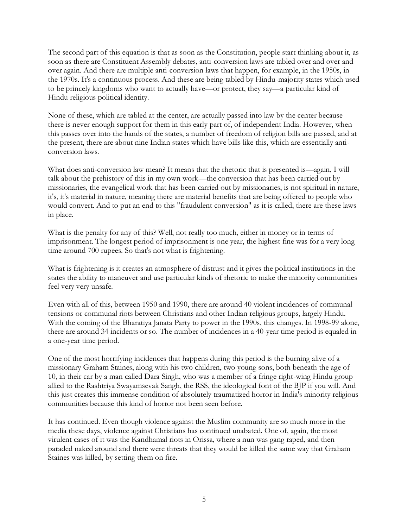The second part of this equation is that as soon as the Constitution, people start thinking about it, as soon as there are Constituent Assembly debates, anti-conversion laws are tabled over and over and over again. And there are multiple anti-conversion laws that happen, for example, in the 1950s, in the 1970s. It's a continuous process. And these are being tabled by Hindu-majority states which used to be princely kingdoms who want to actually have—or protect, they say—a particular kind of Hindu religious political identity.

None of these, which are tabled at the center, are actually passed into law by the center because there is never enough support for them in this early part of, of independent India. However, when this passes over into the hands of the states, a number of freedom of religion bills are passed, and at the present, there are about nine Indian states which have bills like this, which are essentially anticonversion laws.

What does anti-conversion law mean? It means that the rhetoric that is presented is—again, I will talk about the prehistory of this in my own work—the conversion that has been carried out by missionaries, the evangelical work that has been carried out by missionaries, is not spiritual in nature, it's, it's material in nature, meaning there are material benefits that are being offered to people who would convert. And to put an end to this "fraudulent conversion" as it is called, there are these laws in place.

What is the penalty for any of this? Well, not really too much, either in money or in terms of imprisonment. The longest period of imprisonment is one year, the highest fine was for a very long time around 700 rupees. So that's not what is frightening.

What is frightening is it creates an atmosphere of distrust and it gives the political institutions in the states the ability to maneuver and use particular kinds of rhetoric to make the minority communities feel very very unsafe.

Even with all of this, between 1950 and 1990, there are around 40 violent incidences of communal tensions or communal riots between Christians and other Indian religious groups, largely Hindu. With the coming of the Bharatiya Janata Party to power in the 1990s, this changes. In 1998-99 alone, there are around 34 incidents or so. The number of incidences in a 40-year time period is equaled in a one-year time period.

One of the most horrifying incidences that happens during this period is the burning alive of a missionary Graham Staines, along with his two children, two young sons, both beneath the age of 10, in their car by a man called Dara Singh, who was a member of a fringe right-wing Hindu group allied to the Rashtriya Swayamsevak Sangh, the RSS, the ideological font of the BJP if you will. And this just creates this immense condition of absolutely traumatized horror in India's minority religious communities because this kind of horror not been seen before.

It has continued. Even though violence against the Muslim community are so much more in the media these days, violence against Christians has continued unabated. One of, again, the most virulent cases of it was the Kandhamal riots in Orissa, where a nun was gang raped, and then paraded naked around and there were threats that they would be killed the same way that Graham Staines was killed, by setting them on fire.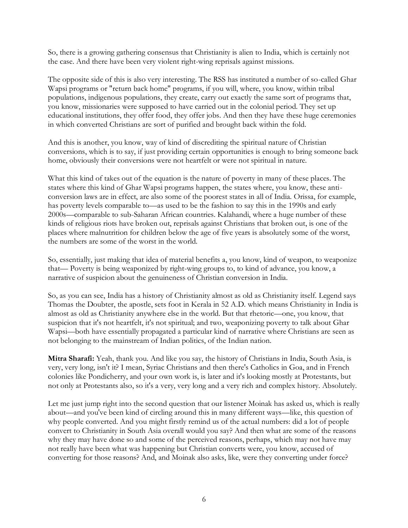So, there is a growing gathering consensus that Christianity is alien to India, which is certainly not the case. And there have been very violent right-wing reprisals against missions.

The opposite side of this is also very interesting. The RSS has instituted a number of so-called Ghar Wapsi programs or "return back home" programs, if you will, where, you know, within tribal populations, indigenous populations, they create, carry out exactly the same sort of programs that, you know, missionaries were supposed to have carried out in the colonial period. They set up educational institutions, they offer food, they offer jobs. And then they have these huge ceremonies in which converted Christians are sort of purified and brought back within the fold.

And this is another, you know, way of kind of discrediting the spiritual nature of Christian conversions, which is to say, if just providing certain opportunities is enough to bring someone back home, obviously their conversions were not heartfelt or were not spiritual in nature.

What this kind of takes out of the equation is the nature of poverty in many of these places. The states where this kind of Ghar Wapsi programs happen, the states where, you know, these anticonversion laws are in effect, are also some of the poorest states in all of India. Orissa, for example, has poverty levels comparable to—as used to be the fashion to say this in the 1990s and early 2000s—comparable to sub-Saharan African countries. Kalahandi, where a huge number of these kinds of religious riots have broken out, reprisals against Christians that broken out, is one of the places where malnutrition for children below the age of five years is absolutely some of the worst, the numbers are some of the worst in the world.

So, essentially, just making that idea of material benefits a, you know, kind of weapon, to weaponize that— Poverty is being weaponized by right-wing groups to, to kind of advance, you know, a narrative of suspicion about the genuineness of Christian conversion in India.

So, as you can see, India has a history of Christianity almost as old as Christianity itself. Legend says Thomas the Doubter, the apostle, sets foot in Kerala in 52 A.D. which means Christianity in India is almost as old as Christianity anywhere else in the world. But that rhetoric—one, you know, that suspicion that it's not heartfelt, it's not spiritual; and two, weaponizing poverty to talk about Ghar Wapsi—both have essentially propagated a particular kind of narrative where Christians are seen as not belonging to the mainstream of Indian politics, of the Indian nation.

**Mitra Sharafi:** Yeah, thank you. And like you say, the history of Christians in India, South Asia, is very, very long, isn't it? I mean, Syriac Christians and then there's Catholics in Goa, and in French colonies like Pondicherry, and your own work is, is later and it's looking mostly at Protestants, but not only at Protestants also, so it's a very, very long and a very rich and complex history. Absolutely.

Let me just jump right into the second question that our listener Moinak has asked us, which is really about—and you've been kind of circling around this in many different ways—like, this question of why people converted. And you might firstly remind us of the actual numbers: did a lot of people convert to Christianity in South Asia overall would you say? And then what are some of the reasons why they may have done so and some of the perceived reasons, perhaps, which may not have may not really have been what was happening but Christian converts were, you know, accused of converting for those reasons? And, and Moinak also asks, like, were they converting under force?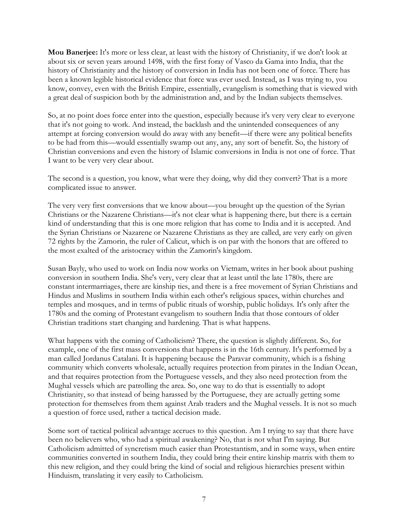**Mou Banerjee:** It's more or less clear, at least with the history of Christianity, if we don't look at about six or seven years around 1498, with the first foray of Vasco da Gama into India, that the history of Christianity and the history of conversion in India has not been one of force. There has been a known legible historical evidence that force was ever used. Instead, as I was trying to, you know, convey, even with the British Empire, essentially, evangelism is something that is viewed with a great deal of suspicion both by the administration and, and by the Indian subjects themselves.

So, at no point does force enter into the question, especially because it's very very clear to everyone that it's not going to work. And instead, the backlash and the unintended consequences of any attempt at forcing conversion would do away with any benefit—if there were any political benefits to be had from this—would essentially swamp out any, any, any sort of benefit. So, the history of Christian conversions and even the history of Islamic conversions in India is not one of force. That I want to be very very clear about.

The second is a question, you know, what were they doing, why did they convert? That is a more complicated issue to answer.

The very very first conversions that we know about—you brought up the question of the Syrian Christians or the Nazarene Christians—it's not clear what is happening there, but there is a certain kind of understanding that this is one more religion that has come to India and it is accepted. And the Syrian Christians or Nazarene or Nazarene Christians as they are called, are very early on given 72 rights by the Zamorin, the ruler of Calicut, which is on par with the honors that are offered to the most exalted of the aristocracy within the Zamorin's kingdom.

Susan Bayly, who used to work on India now works on Vietnam, writes in her book about pushing conversion in southern India. She's very, very clear that at least until the late 1780s, there are constant intermarriages, there are kinship ties, and there is a free movement of Syrian Christians and Hindus and Muslims in southern India within each other's religious spaces, within churches and temples and mosques, and in terms of public rituals of worship, public holidays. It's only after the 1780s and the coming of Protestant evangelism to southern India that those contours of older Christian traditions start changing and hardening. That is what happens.

What happens with the coming of Catholicism? There, the question is slightly different. So, for example, one of the first mass conversions that happens is in the 16th century. It's performed by a man called Jordanus Catalani. It is happening because the Paravar community, which is a fishing community which converts wholesale, actually requires protection from pirates in the Indian Ocean, and that requires protection from the Portuguese vessels, and they also need protection from the Mughal vessels which are patrolling the area. So, one way to do that is essentially to adopt Christianity, so that instead of being harassed by the Portuguese, they are actually getting some protection for themselves from them against Arab traders and the Mughal vessels. It is not so much a question of force used, rather a tactical decision made.

Some sort of tactical political advantage accrues to this question. Am I trying to say that there have been no believers who, who had a spiritual awakening? No, that is not what I'm saying. But Catholicism admitted of syncretism much easier than Protestantism, and in some ways, when entire communities converted in southern India, they could bring their entire kinship matrix with them to this new religion, and they could bring the kind of social and religious hierarchies present within Hinduism, translating it very easily to Catholicism.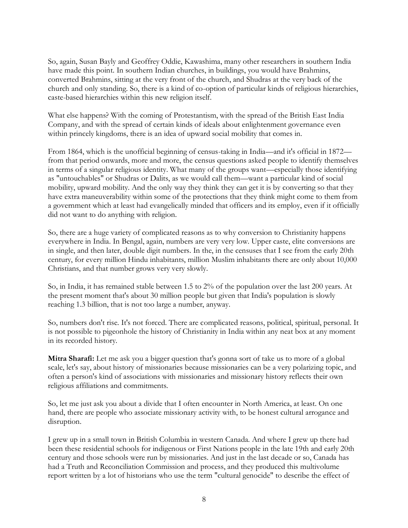So, again, Susan Bayly and Geoffrey Oddie, Kawashima, many other researchers in southern India have made this point. In southern Indian churches, in buildings, you would have Brahmins, converted Brahmins, sitting at the very front of the church, and Shudras at the very back of the church and only standing. So, there is a kind of co-option of particular kinds of religious hierarchies, caste-based hierarchies within this new religion itself.

What else happens? With the coming of Protestantism, with the spread of the British East India Company, and with the spread of certain kinds of ideals about enlightenment governance even within princely kingdoms, there is an idea of upward social mobility that comes in.

From 1864, which is the unofficial beginning of census-taking in India—and it's official in 1872 from that period onwards, more and more, the census questions asked people to identify themselves in terms of a singular religious identity. What many of the groups want—especially those identifying as "untouchables" or Shudras or Dalits, as we would call them—want a particular kind of social mobility, upward mobility. And the only way they think they can get it is by converting so that they have extra maneuverability within some of the protections that they think might come to them from a government which at least had evangelically minded that officers and its employ, even if it officially did not want to do anything with religion.

So, there are a huge variety of complicated reasons as to why conversion to Christianity happens everywhere in India. In Bengal, again, numbers are very very low. Upper caste, elite conversions are in single, and then later, double digit numbers. In the, in the censuses that I see from the early 20th century, for every million Hindu inhabitants, million Muslim inhabitants there are only about 10,000 Christians, and that number grows very very slowly.

So, in India, it has remained stable between 1.5 to 2% of the population over the last 200 years. At the present moment that's about 30 million people but given that India's population is slowly reaching 1.3 billion, that is not too large a number, anyway.

So, numbers don't rise. It's not forced. There are complicated reasons, political, spiritual, personal. It is not possible to pigeonhole the history of Christianity in India within any neat box at any moment in its recorded history.

**Mitra Sharafi:** Let me ask you a bigger question that's gonna sort of take us to more of a global scale, let's say, about history of missionaries because missionaries can be a very polarizing topic, and often a person's kind of associations with missionaries and missionary history reflects their own religious affiliations and commitments.

So, let me just ask you about a divide that I often encounter in North America, at least. On one hand, there are people who associate missionary activity with, to be honest cultural arrogance and disruption.

I grew up in a small town in British Columbia in western Canada. And where I grew up there had been these residential schools for indigenous or First Nations people in the late 19th and early 20th century and those schools were run by missionaries. And just in the last decade or so, Canada has had a Truth and Reconciliation Commission and process, and they produced this multivolume report written by a lot of historians who use the term "cultural genocide" to describe the effect of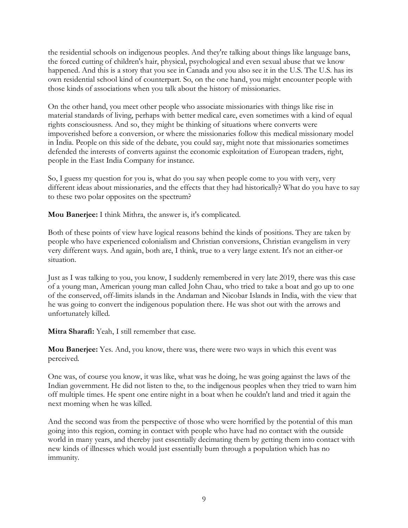the residential schools on indigenous peoples. And they're talking about things like language bans, the forced cutting of children's hair, physical, psychological and even sexual abuse that we know happened. And this is a story that you see in Canada and you also see it in the U.S. The U.S. has its own residential school kind of counterpart. So, on the one hand, you might encounter people with those kinds of associations when you talk about the history of missionaries.

On the other hand, you meet other people who associate missionaries with things like rise in material standards of living, perhaps with better medical care, even sometimes with a kind of equal rights consciousness. And so, they might be thinking of situations where converts were impoverished before a conversion, or where the missionaries follow this medical missionary model in India. People on this side of the debate, you could say, might note that missionaries sometimes defended the interests of converts against the economic exploitation of European traders, right, people in the East India Company for instance.

So, I guess my question for you is, what do you say when people come to you with very, very different ideas about missionaries, and the effects that they had historically? What do you have to say to these two polar opposites on the spectrum?

**Mou Banerjee:** I think Mithra, the answer is, it's complicated.

Both of these points of view have logical reasons behind the kinds of positions. They are taken by people who have experienced colonialism and Christian conversions, Christian evangelism in very very different ways. And again, both are, I think, true to a very large extent. It's not an either-or situation.

Just as I was talking to you, you know, I suddenly remembered in very late 2019, there was this case of a young man, American young man called John Chau, who tried to take a boat and go up to one of the conserved, off-limits islands in the Andaman and Nicobar Islands in India, with the view that he was going to convert the indigenous population there. He was shot out with the arrows and unfortunately killed.

**Mitra Sharafi:** Yeah, I still remember that case.

**Mou Banerjee:** Yes. And, you know, there was, there were two ways in which this event was perceived.

One was, of course you know, it was like, what was he doing, he was going against the laws of the Indian government. He did not listen to the, to the indigenous peoples when they tried to warn him off multiple times. He spent one entire night in a boat when he couldn't land and tried it again the next morning when he was killed.

And the second was from the perspective of those who were horrified by the potential of this man going into this region, coming in contact with people who have had no contact with the outside world in many years, and thereby just essentially decimating them by getting them into contact with new kinds of illnesses which would just essentially burn through a population which has no immunity.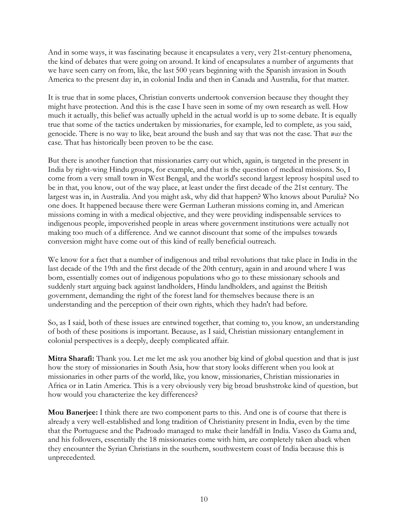And in some ways, it was fascinating because it encapsulates a very, very 21st-century phenomena, the kind of debates that were going on around. It kind of encapsulates a number of arguments that we have seen carry on from, like, the last 500 years beginning with the Spanish invasion in South America to the present day in, in colonial India and then in Canada and Australia, for that matter.

It is true that in some places, Christian converts undertook conversion because they thought they might have protection. And this is the case I have seen in some of my own research as well. How much it actually, this belief was actually upheld in the actual world is up to some debate. It is equally true that some of the tactics undertaken by missionaries, for example, led to complete, as you said, genocide. There is no way to like, beat around the bush and say that was not the case. That *was* the case. That has historically been proven to be the case.

But there is another function that missionaries carry out which, again, is targeted in the present in India by right-wing Hindu groups, for example, and that is the question of medical missions. So, I come from a very small town in West Bengal, and the world's second largest leprosy hospital used to be in that, you know, out of the way place, at least under the first decade of the 21st century. The largest was in, in Australia. And you might ask, why did that happen? Who knows about Purulia? No one does. It happened because there were German Lutheran missions coming in, and American missions coming in with a medical objective, and they were providing indispensable services to indigenous people, impoverished people in areas where government institutions were actually not making too much of a difference. And we cannot discount that some of the impulses towards conversion might have come out of this kind of really beneficial outreach.

We know for a fact that a number of indigenous and tribal revolutions that take place in India in the last decade of the 19th and the first decade of the 20th century, again in and around where I was born, essentially comes out of indigenous populations who go to these missionary schools and suddenly start arguing back against landholders, Hindu landholders, and against the British government, demanding the right of the forest land for themselves because there is an understanding and the perception of their own rights, which they hadn't had before.

So, as I said, both of these issues are entwined together, that coming to, you know, an understanding of both of these positions is important. Because, as I said, Christian missionary entanglement in colonial perspectives is a deeply, deeply complicated affair.

**Mitra Sharafi:** Thank you. Let me let me ask you another big kind of global question and that is just how the story of missionaries in South Asia, how that story looks different when you look at missionaries in other parts of the world, like, you know, missionaries, Christian missionaries in Africa or in Latin America. This is a very obviously very big broad brushstroke kind of question, but how would you characterize the key differences?

**Mou Banerjee:** I think there are two component parts to this. And one is of course that there is already a very well-established and long tradition of Christianity present in India, even by the time that the Portuguese and the Padroado managed to make their landfall in India. Vasco da Gama and, and his followers, essentially the 18 missionaries come with him, are completely taken aback when they encounter the Syrian Christians in the southern, southwestern coast of India because this is unprecedented.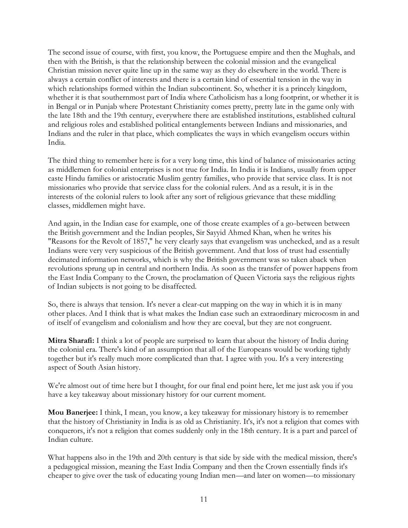The second issue of course, with first, you know, the Portuguese empire and then the Mughals, and then with the British, is that the relationship between the colonial mission and the evangelical Christian mission never quite line up in the same way as they do elsewhere in the world. There is always a certain conflict of interests and there is a certain kind of essential tension in the way in which relationships formed within the Indian subcontinent. So, whether it is a princely kingdom, whether it is that southernmost part of India where Catholicism has a long footprint, or whether it is in Bengal or in Punjab where Protestant Christianity comes pretty, pretty late in the game only with the late 18th and the 19th century, everywhere there are established institutions, established cultural and religious roles and established political entanglements between Indians and missionaries, and Indians and the ruler in that place, which complicates the ways in which evangelism occurs within India.

The third thing to remember here is for a very long time, this kind of balance of missionaries acting as middlemen for colonial enterprises is not true for India. In India it is Indians, usually from upper caste Hindu families or aristocratic Muslim gentry families, who provide that service class. It is not missionaries who provide that service class for the colonial rulers. And as a result, it is in the interests of the colonial rulers to look after any sort of religious grievance that these middling classes, middlemen might have.

And again, in the Indian case for example, one of those create examples of a go-between between the British government and the Indian peoples, Sir Sayyid Ahmed Khan, when he writes his "Reasons for the Revolt of 1857," he very clearly says that evangelism was unchecked, and as a result Indians were very very suspicious of the British government. And that loss of trust had essentially decimated information networks, which is why the British government was so taken aback when revolutions sprung up in central and northern India. As soon as the transfer of power happens from the East India Company to the Crown, the proclamation of Queen Victoria says the religious rights of Indian subjects is not going to be disaffected.

So, there is always that tension. It's never a clear-cut mapping on the way in which it is in many other places. And I think that is what makes the Indian case such an extraordinary microcosm in and of itself of evangelism and colonialism and how they are coeval, but they are not congruent.

**Mitra Sharafi:** I think a lot of people are surprised to learn that about the history of India during the colonial era. There's kind of an assumption that all of the Europeans would be working tightly together but it's really much more complicated than that. I agree with you. It's a very interesting aspect of South Asian history.

We're almost out of time here but I thought, for our final end point here, let me just ask you if you have a key takeaway about missionary history for our current moment.

**Mou Banerjee:** I think, I mean, you know, a key takeaway for missionary history is to remember that the history of Christianity in India is as old as Christianity. It's, it's not a religion that comes with conquerors, it's not a religion that comes suddenly only in the 18th century. It is a part and parcel of Indian culture.

What happens also in the 19th and 20th century is that side by side with the medical mission, there's a pedagogical mission, meaning the East India Company and then the Crown essentially finds it's cheaper to give over the task of educating young Indian men—and later on women—to missionary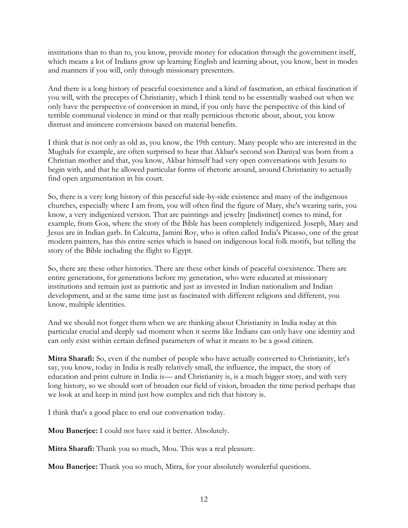institutions than to than to, you know, provide money for education through the government itself, which means a lot of Indians grow up learning English and learning about, you know, best in modes and manners if you will, only through missionary presenters.

And there is a long history of peaceful coexistence and a kind of fascination, an ethical fascination if you will, with the precepts of Christianity, which I think tend to be essentially washed out when we only have the perspective of conversion in mind, if you only have the perspective of this kind of terrible communal violence in mind or that really pernicious rhetoric about, about, you know distrust and insincere conversions based on material benefits.

I think that is not only as old as, you know, the 19th century. Many people who are interested in the Mughals for example, are often surprised to hear that Akbar's second son Daniyal was born from a Christian mother and that, you know, Akbar himself had very open conversations with Jesuits to begin with, and that he allowed particular forms of rhetoric around, around Christianity to actually find open argumentation in his court.

So, there is a very long history of this peaceful side-by-side existence and many of the indigenous churches, especially where I am from, you will often find the figure of Mary, she's wearing saris, you know, a very indigenized version. That are paintings and jewelry [indistinct] comes to mind, for example, from Goa, where the story of the Bible has been completely indigenized. Joseph, Mary and Jesus are in Indian garb. In Calcutta, Jamini Roy, who is often called India's Picasso, one of the great modern painters, has this entire series which is based on indigenous local folk motifs, but telling the story of the Bible including the flight to Egypt.

So, there are these other histories. There are these other kinds of peaceful coexistence. There are entire generations, for generations before my generation, who were educated at missionary institutions and remain just as patriotic and just as invested in Indian nationalism and Indian development, and at the same time just as fascinated with different religions and different, you know, multiple identities.

And we should not forget them when we are thinking about Christianity in India today at this particular crucial and deeply sad moment when it seems like Indians can only have one identity and can only exist within certain defined parameters of what it means to be a good citizen.

**Mitra Sharafi:** So, even if the number of people who have actually converted to Christianity, let's say, you know, today in India is really relatively small, the influence, the impact, the story of education and print culture in India is— and Christianity is, is a much bigger story, and with very long history, so we should sort of broaden our field of vision, broaden the time period perhaps that we look at and keep in mind just how complex and rich that history is.

I think that's a good place to end our conversation today.

**Mou Banerjee:** I could not have said it better. Absolutely.

**Mitra Sharafi:** Thank you so much, Mou. This was a real pleasure.

**Mou Banerjee:** Thank you so much, Mitra, for your absolutely wonderful questions.